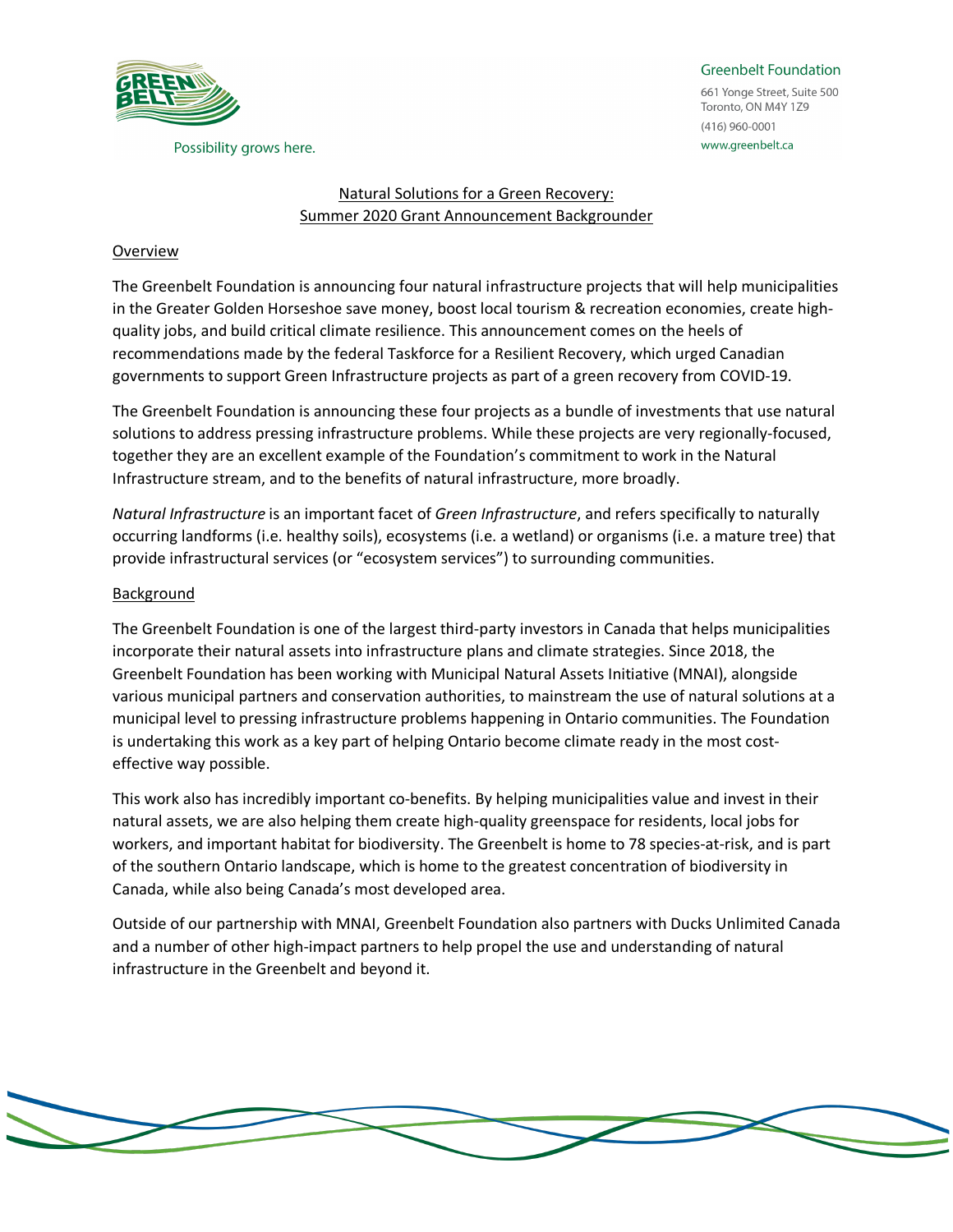

Possibility grows here.

#### **Greenbelt Foundation**

661 Yonge Street, Suite 500 Toronto, ON M4Y 1Z9  $(416)$  960-0001 www.greenbelt.ca

#### Natural Solutions for a Green Recovery: Summer 2020 Grant Announcement Backgrounder

#### Overview

The Greenbelt Foundation is announcing four natural infrastructure projects that will help municipalities in the Greater Golden Horseshoe save money, boost local tourism & recreation economies, create highquality jobs, and build critical climate resilience. This announcement comes on the heels of recommendations made by the federal Taskforce for a Resilient Recovery, which urged Canadian governments to support Green Infrastructure projects as part of a green recovery from COVID-19.

The Greenbelt Foundation is announcing these four projects as a bundle of investments that use natural solutions to address pressing infrastructure problems. While these projects are very regionally-focused, together they are an excellent example of the Foundation's commitment to work in the Natural Infrastructure stream, and to the benefits of natural infrastructure, more broadly.

*Natural Infrastructure* is an important facet of *Green Infrastructure*, and refers specifically to naturally occurring landforms (i.e. healthy soils), ecosystems (i.e. a wetland) or organisms (i.e. a mature tree) that provide infrastructural services (or "ecosystem services") to surrounding communities.

## Background

The Greenbelt Foundation is one of the largest third-party investors in Canada that helps municipalities incorporate their natural assets into infrastructure plans and climate strategies. Since 2018, the Greenbelt Foundation has been working with Municipal Natural Assets Initiative (MNAI), alongside various municipal partners and conservation authorities, to mainstream the use of natural solutions at a municipal level to pressing infrastructure problems happening in Ontario communities. The Foundation is undertaking this work as a key part of helping Ontario become climate ready in the most costeffective way possible.

This work also has incredibly important co-benefits. By helping municipalities value and invest in their natural assets, we are also helping them create high-quality greenspace for residents, local jobs for workers, and important habitat for biodiversity. The Greenbelt is home to 78 species-at-risk, and is part of the southern Ontario landscape, which is home to the greatest concentration of biodiversity in Canada, while also being Canada's most developed area.

Outside of our partnership with MNAI, Greenbelt Foundation also partners with Ducks Unlimited Canada and a number of other high-impact partners to help propel the use and understanding of natural infrastructure in the Greenbelt and beyond it.

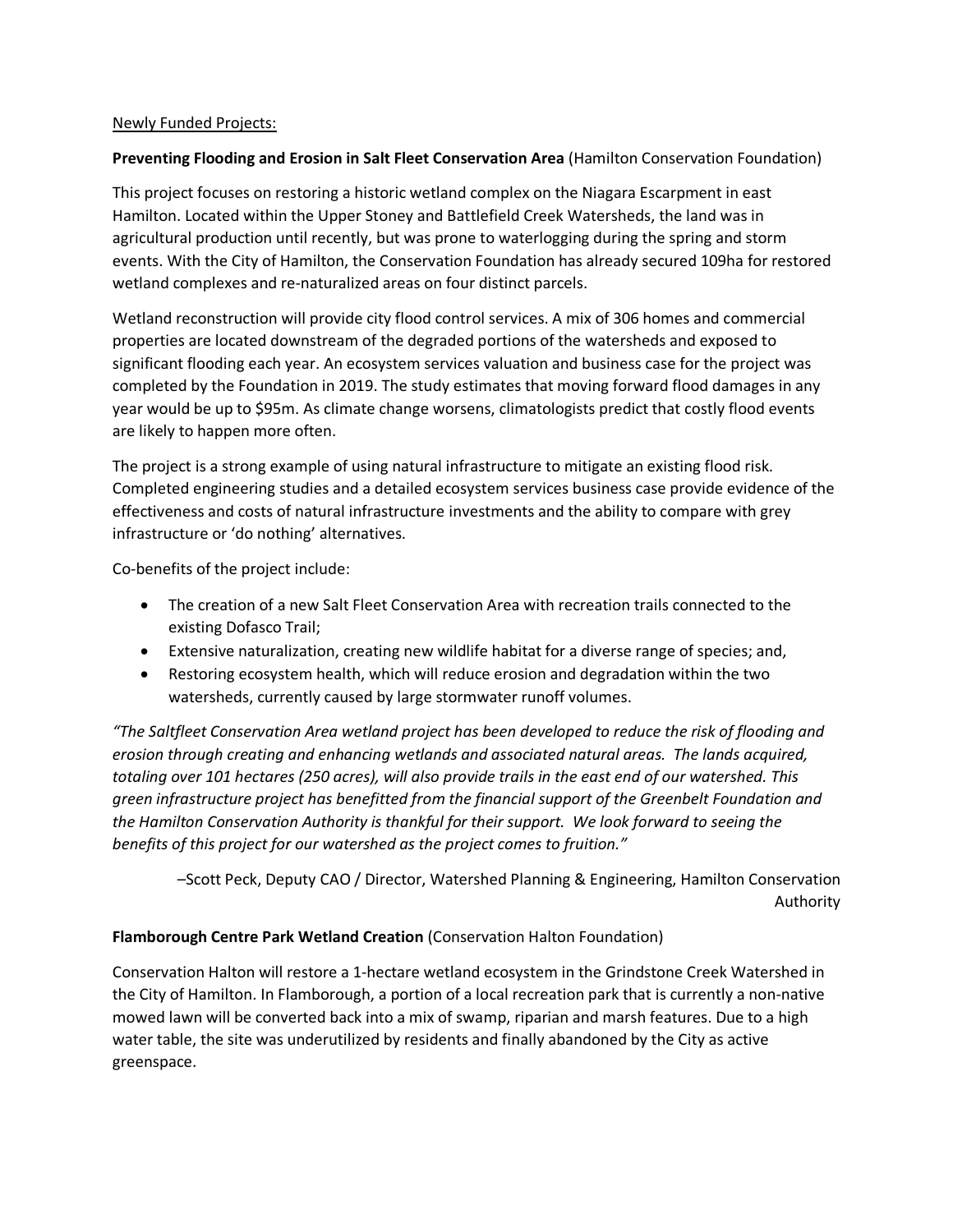## Newly Funded Projects:

## **Preventing Flooding and Erosion in Salt Fleet Conservation Area** (Hamilton Conservation Foundation)

This project focuses on restoring a historic wetland complex on the Niagara Escarpment in east Hamilton. Located within the Upper Stoney and Battlefield Creek Watersheds, the land was in agricultural production until recently, but was prone to waterlogging during the spring and storm events. With the City of Hamilton, the Conservation Foundation has already secured 109ha for restored wetland complexes and re-naturalized areas on four distinct parcels.

Wetland reconstruction will provide city flood control services. A mix of 306 homes and commercial properties are located downstream of the degraded portions of the watersheds and exposed to significant flooding each year. An ecosystem services valuation and business case for the project was completed by the Foundation in 2019. The study estimates that moving forward flood damages in any year would be up to \$95m. As climate change worsens, climatologists predict that costly flood events are likely to happen more often.

The project is a strong example of using natural infrastructure to mitigate an existing flood risk. Completed engineering studies and a detailed ecosystem services business case provide evidence of the effectiveness and costs of natural infrastructure investments and the ability to compare with grey infrastructure or 'do nothing' alternatives.

Co-benefits of the project include:

- The creation of a new Salt Fleet Conservation Area with recreation trails connected to the existing Dofasco Trail;
- Extensive naturalization, creating new wildlife habitat for a diverse range of species; and,
- Restoring ecosystem health, which will reduce erosion and degradation within the two watersheds, currently caused by large stormwater runoff volumes.

*"The Saltfleet Conservation Area wetland project has been developed to reduce the risk of flooding and erosion through creating and enhancing wetlands and associated natural areas. The lands acquired, totaling over 101 hectares (250 acres), will also provide trails in the east end of our watershed. This green infrastructure project has benefitted from the financial support of the Greenbelt Foundation and the Hamilton Conservation Authority is thankful for their support. We look forward to seeing the benefits of this project for our watershed as the project comes to fruition."*

–Scott Peck, Deputy CAO / Director, Watershed Planning & Engineering, Hamilton Conservation Authority

## **Flamborough Centre Park Wetland Creation** (Conservation Halton Foundation)

Conservation Halton will restore a 1-hectare wetland ecosystem in the Grindstone Creek Watershed in the City of Hamilton. In Flamborough, a portion of a local recreation park that is currently a non-native mowed lawn will be converted back into a mix of swamp, riparian and marsh features. Due to a high water table, the site was underutilized by residents and finally abandoned by the City as active greenspace.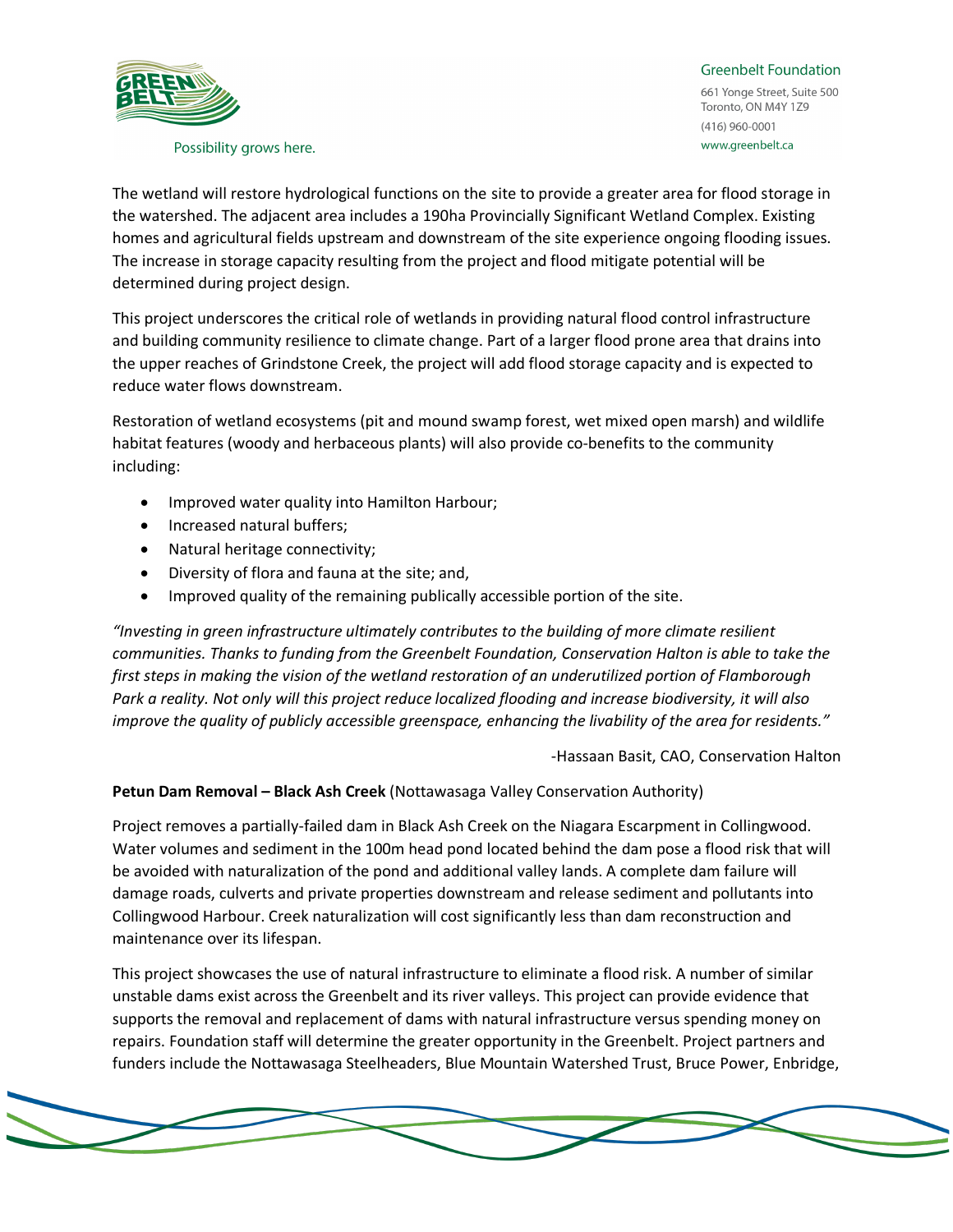

#### Possibility grows here.

**Greenbelt Foundation** 661 Yonge Street, Suite 500 Toronto, ON M4Y 1Z9  $(416)$  960-0001 www.greenbelt.ca

The wetland will restore hydrological functions on the site to provide a greater area for flood storage in the watershed. The adjacent area includes a 190ha Provincially Significant Wetland Complex. Existing homes and agricultural fields upstream and downstream of the site experience ongoing flooding issues. The increase in storage capacity resulting from the project and flood mitigate potential will be determined during project design.

This project underscores the critical role of wetlands in providing natural flood control infrastructure and building community resilience to climate change. Part of a larger flood prone area that drains into the upper reaches of Grindstone Creek, the project will add flood storage capacity and is expected to reduce water flows downstream.

Restoration of wetland ecosystems (pit and mound swamp forest, wet mixed open marsh) and wildlife habitat features (woody and herbaceous plants) will also provide co-benefits to the community including:

- Improved water quality into Hamilton Harbour;
- Increased natural buffers;
- Natural heritage connectivity;
- Diversity of flora and fauna at the site; and,
- Improved quality of the remaining publically accessible portion of the site.

*"Investing in green infrastructure ultimately contributes to the building of more climate resilient communities. Thanks to funding from the Greenbelt Foundation, Conservation Halton is able to take the first steps in making the vision of the wetland restoration of an underutilized portion of Flamborough Park a reality. Not only will this project reduce localized flooding and increase biodiversity, it will also improve the quality of publicly accessible greenspace, enhancing the livability of the area for residents."*

-Hassaan Basit, CAO, Conservation Halton

**Petun Dam Removal – Black Ash Creek** (Nottawasaga Valley Conservation Authority)

Project removes a partially-failed dam in Black Ash Creek on the Niagara Escarpment in Collingwood. Water volumes and sediment in the 100m head pond located behind the dam pose a flood risk that will be avoided with naturalization of the pond and additional valley lands. A complete dam failure will damage roads, culverts and private properties downstream and release sediment and pollutants into Collingwood Harbour. Creek naturalization will cost significantly less than dam reconstruction and maintenance over its lifespan.

This project showcases the use of natural infrastructure to eliminate a flood risk. A number of similar unstable dams exist across the Greenbelt and its river valleys. This project can provide evidence that supports the removal and replacement of dams with natural infrastructure versus spending money on repairs. Foundation staff will determine the greater opportunity in the Greenbelt. Project partners and funders include the Nottawasaga Steelheaders, Blue Mountain Watershed Trust, Bruce Power, Enbridge,